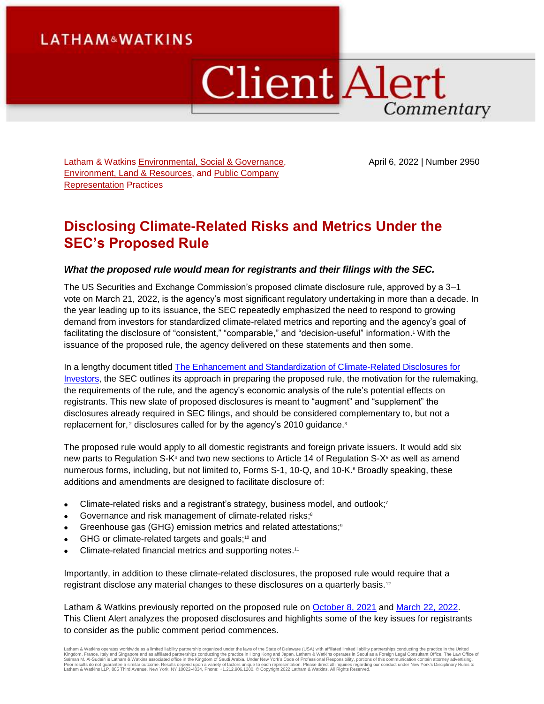# **LATHAM&WATKINS**

# **Client Alert** Commentary

Latham & Watkins [Environmental, Social & Governance,](https://www.lw.com/practices/EnvironmentalSocialGovernance) [Environment, Land & Resources,](https://www.lw.com/practices/EnvironmentLandAndResources) and [Public Company](https://www.lw.com/practices/PublicCompanyRepresentation)  [Representation](https://www.lw.com/practices/PublicCompanyRepresentation) Practices

April 6, 2022 | Number 2950

# **Disclosing Climate-Related Risks and Metrics Under the SEC's Proposed Rule**

#### *What the proposed rule would mean for registrants and their filings with the SEC.*

The US Securities and Exchange Commission's proposed climate disclosure rule, approved by a 3–1 vote on March 21, 2022, is the agency's most significant regulatory undertaking in more than a decade. In the year leading up to its issuance, the SEC repeatedly emphasized the need to respond to growing demand from investors for standardized climate-related metrics and reporting and the agency's goal of facilitating the disclosure of "consistent," "comparable," and "decision-useful" information. <sup>1</sup> With the issuance of the proposed rule, the agency delivered on these statements and then some.

In a lengthy document titled The Enhancement and Standardization of Climate-Related Disclosures for [Investors,](https://www.sec.gov/rules/proposed/2022/33-11042.pdf) the SEC outlines its approach in preparing the proposed rule, the motivation for the rulemaking, the requirements of the rule, and the agency's economic analysis of the rule's potential effects on registrants. This new slate of proposed disclosures is meant to "augment" and "supplement" the disclosures already required in SEC filings, and should be considered complementary to, but not a replacement for,<sup>2</sup> disclosures called for by the agency's 2010 guidance.<sup>3</sup>

The proposed rule would apply to all domestic registrants and foreign private issuers. It would add six new parts to Regulation S-K<sup>4</sup> and two new sections to Article 14 of Regulation S-X<sup>5</sup> as well as amend numerous forms, including, but not limited to, Forms S-1, 10-Q, and 10-K.<sup>6</sup> Broadly speaking, these additions and amendments are designed to facilitate disclosure of:

- Climate-related risks and a registrant's strategy, business model, and outlook;<sup>7</sup>
- Governance and risk management of climate-related risks;<sup>8</sup>
- Greenhouse gas (GHG) emission metrics and related attestations;<sup>9</sup>
- GHG or climate-related targets and goals;<sup>10</sup> and
- Climate-related financial metrics and supporting notes.<sup>11</sup>

Importantly, in addition to these climate-related disclosures, the proposed rule would require that a registrant disclose any material changes to these disclosures on a quarterly basis.<sup>12</sup>

Latham & Watkins previously reported on the proposed rule on [October 8, 2021](https://www.lw.com/thoughtLeadership/Climate-Disclosures-and-the-SEC) and [March 22, 2022.](https://www.lw.com/thoughtLeadership/sec-proposes-extensive-climate-change-disclosure-regulations) This Client Alert analyzes the proposed disclosures and highlights some of the key issues for registrants to consider as the public comment period commences.

Latham & Watkins operates worldwide as a limited liability partnership organized under the laws of the State of Delaware (USA) with affiliated limited liability partnerships conducting the practice in the United Kingdom, France, Italy and Singapore and as affiliated partnerships conducting the practice in Hong Kong and Japan. Latham & Watkins operates in Seoul as a Foreign Legal Consultant Office. The Law Office of<br>Salman M. Al-Su Latham & Watkins LLP, 885 Third Avenue, New York, NY 10022-4834, Phone: +1.212.906.1200. © Copyright 2022 Latham & Watkins. All Rights Reserved.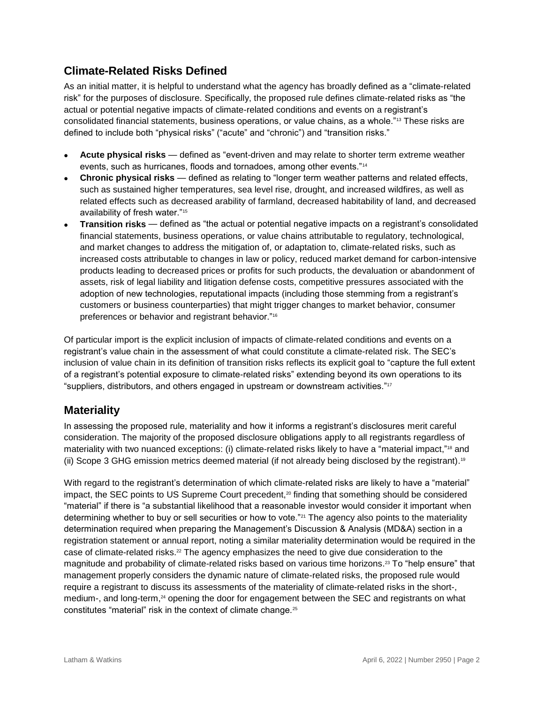# **Climate-Related Risks Defined**

As an initial matter, it is helpful to understand what the agency has broadly defined as a "climate-related risk" for the purposes of disclosure. Specifically, the proposed rule defines climate-related risks as "the actual or potential negative impacts of climate-related conditions and events on a registrant's consolidated financial statements, business operations, or value chains, as a whole."<sup>13</sup> These risks are defined to include both "physical risks" ("acute" and "chronic") and "transition risks."

- **Acute physical risks** defined as "event-driven and may relate to shorter term extreme weather events, such as hurricanes, floods and tornadoes, among other events."<sup>14</sup>
- **Chronic physical risks** defined as relating to "longer term weather patterns and related effects, such as sustained higher temperatures, sea level rise, drought, and increased wildfires, as well as related effects such as decreased arability of farmland, decreased habitability of land, and decreased availability of fresh water."<sup>15</sup>
- **Transition risks** defined as "the actual or potential negative impacts on a registrant's consolidated financial statements, business operations, or value chains attributable to regulatory, technological, and market changes to address the mitigation of, or adaptation to, climate-related risks, such as increased costs attributable to changes in law or policy, reduced market demand for carbon-intensive products leading to decreased prices or profits for such products, the devaluation or abandonment of assets, risk of legal liability and litigation defense costs, competitive pressures associated with the adoption of new technologies, reputational impacts (including those stemming from a registrant's customers or business counterparties) that might trigger changes to market behavior, consumer preferences or behavior and registrant behavior."<sup>16</sup>

Of particular import is the explicit inclusion of impacts of climate-related conditions and events on a registrant's value chain in the assessment of what could constitute a climate-related risk. The SEC's inclusion of value chain in its definition of transition risks reflects its explicit goal to "capture the full extent of a registrant's potential exposure to climate-related risks" extending beyond its own operations to its "suppliers, distributors, and others engaged in upstream or downstream activities."<sup>17</sup>

# **Materiality**

In assessing the proposed rule, materiality and how it informs a registrant's disclosures merit careful consideration. The majority of the proposed disclosure obligations apply to all registrants regardless of materiality with two nuanced exceptions: (i) climate-related risks likely to have a "material impact,"<sup>18</sup> and (ii) Scope 3 GHG emission metrics deemed material (if not already being disclosed by the registrant). 19

With regard to the registrant's determination of which climate-related risks are likely to have a "material" impact, the SEC points to US Supreme Court precedent, $20$  finding that something should be considered "material" if there is "a substantial likelihood that a reasonable investor would consider it important when determining whether to buy or sell securities or how to vote."<sup>21</sup> The agency also points to the materiality determination required when preparing the Management's Discussion & Analysis (MD&A) section in a registration statement or annual report, noting a similar materiality determination would be required in the case of climate-related risks.<sup>22</sup> The agency emphasizes the need to give due consideration to the magnitude and probability of climate-related risks based on various time horizons. <sup>23</sup> To "help ensure" that management properly considers the dynamic nature of climate-related risks, the proposed rule would require a registrant to discuss its assessments of the materiality of climate-related risks in the short-, medium-, and long-term,<sup>24</sup> opening the door for engagement between the SEC and registrants on what constitutes "material" risk in the context of climate change.25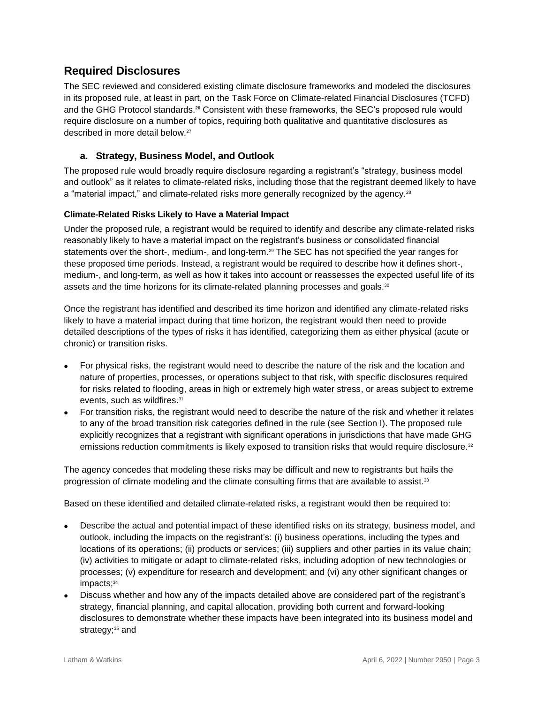# **Required Disclosures**

The SEC reviewed and considered existing climate disclosure frameworks and modeled the disclosures in its proposed rule, at least in part, on the Task Force on Climate-related Financial Disclosures (TCFD) and the GHG Protocol standards. **<sup>26</sup>** Consistent with these frameworks, the SEC's proposed rule would require disclosure on a number of topics, requiring both qualitative and quantitative disclosures as described in more detail below.<sup>27</sup>

## **a. Strategy, Business Model, and Outlook**

The proposed rule would broadly require disclosure regarding a registrant's "strategy, business model and outlook" as it relates to climate-related risks, including those that the registrant deemed likely to have a "material impact," and climate-related risks more generally recognized by the agency.<sup>28</sup>

#### **Climate-Related Risks Likely to Have a Material Impact**

Under the proposed rule, a registrant would be required to identify and describe any climate-related risks reasonably likely to have a material impact on the registrant's business or consolidated financial statements over the short-, medium-, and long-term. <sup>29</sup> The SEC has not specified the year ranges for these proposed time periods. Instead, a registrant would be required to describe how it defines short-, medium-, and long-term, as well as how it takes into account or reassesses the expected useful life of its assets and the time horizons for its climate-related planning processes and goals.<sup>30</sup>

Once the registrant has identified and described its time horizon and identified any climate-related risks likely to have a material impact during that time horizon, the registrant would then need to provide detailed descriptions of the types of risks it has identified, categorizing them as either physical (acute or chronic) or transition risks.

- For physical risks, the registrant would need to describe the nature of the risk and the location and nature of properties, processes, or operations subject to that risk, with specific disclosures required for risks related to flooding, areas in high or extremely high water stress, or areas subject to extreme events, such as wildfires. 31
- For transition risks, the registrant would need to describe the nature of the risk and whether it relates to any of the broad transition risk categories defined in the rule (see Section I). The proposed rule explicitly recognizes that a registrant with significant operations in jurisdictions that have made GHG emissions reduction commitments is likely exposed to transition risks that would require disclosure.<sup>32</sup>

The agency concedes that modeling these risks may be difficult and new to registrants but hails the progression of climate modeling and the climate consulting firms that are available to assist.<sup>33</sup>

Based on these identified and detailed climate-related risks, a registrant would then be required to:

- Describe the actual and potential impact of these identified risks on its strategy, business model, and outlook, including the impacts on the registrant's: (i) business operations, including the types and locations of its operations; (ii) products or services; (iii) suppliers and other parties in its value chain; (iv) activities to mitigate or adapt to climate-related risks, including adoption of new technologies or processes; (v) expenditure for research and development; and (vi) any other significant changes or impacts; 34
- Discuss whether and how any of the impacts detailed above are considered part of the registrant's strategy, financial planning, and capital allocation, providing both current and forward-looking disclosures to demonstrate whether these impacts have been integrated into its business model and strategy; <sup>35</sup> and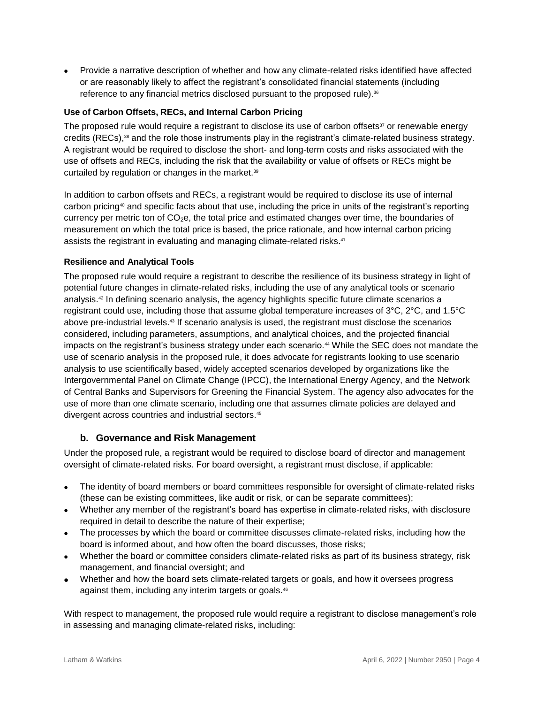Provide a narrative description of whether and how any climate-related risks identified have affected or are reasonably likely to affect the registrant's consolidated financial statements (including reference to any financial metrics disclosed pursuant to the proposed rule).<sup>36</sup>

#### **Use of Carbon Offsets, RECs, and Internal Carbon Pricing**

The proposed rule would require a registrant to disclose its use of carbon offsets $37$  or renewable energy credits (RECs), <sup>38</sup> and the role those instruments play in the registrant's climate-related business strategy. A registrant would be required to disclose the short- and long-term costs and risks associated with the use of offsets and RECs, including the risk that the availability or value of offsets or RECs might be curtailed by regulation or changes in the market.<sup>39</sup>

In addition to carbon offsets and RECs, a registrant would be required to disclose its use of internal carbon pricing<sup>40</sup> and specific facts about that use, including the price in units of the registrant's reporting currency per metric ton of  $CO<sub>2</sub>e$ , the total price and estimated changes over time, the boundaries of measurement on which the total price is based, the price rationale, and how internal carbon pricing assists the registrant in evaluating and managing climate-related risks.<sup>41</sup>

#### **Resilience and Analytical Tools**

The proposed rule would require a registrant to describe the resilience of its business strategy in light of potential future changes in climate-related risks, including the use of any analytical tools or scenario analysis.<sup>42</sup> In defining scenario analysis, the agency highlights specific future climate scenarios a registrant could use, including those that assume global temperature increases of 3°C, 2°C, and 1.5°C above pre-industrial levels.<sup>43</sup> If scenario analysis is used, the registrant must disclose the scenarios considered, including parameters, assumptions, and analytical choices, and the projected financial impacts on the registrant's business strategy under each scenario.<sup>44</sup> While the SEC does not mandate the use of scenario analysis in the proposed rule, it does advocate for registrants looking to use scenario analysis to use scientifically based, widely accepted scenarios developed by organizations like the Intergovernmental Panel on Climate Change (IPCC), the International Energy Agency, and the Network of Central Banks and Supervisors for Greening the Financial System. The agency also advocates for the use of more than one climate scenario, including one that assumes climate policies are delayed and divergent across countries and industrial sectors. 45

#### **b. Governance and Risk Management**

Under the proposed rule, a registrant would be required to disclose board of director and management oversight of climate-related risks. For board oversight, a registrant must disclose, if applicable:

- The identity of board members or board committees responsible for oversight of climate-related risks (these can be existing committees, like audit or risk, or can be separate committees);
- Whether any member of the registrant's board has expertise in climate-related risks, with disclosure required in detail to describe the nature of their expertise;
- The processes by which the board or committee discusses climate-related risks, including how the board is informed about, and how often the board discusses, those risks;
- Whether the board or committee considers climate-related risks as part of its business strategy, risk management, and financial oversight; and
- Whether and how the board sets climate-related targets or goals, and how it oversees progress against them, including any interim targets or goals.<sup>46</sup>

With respect to management, the proposed rule would require a registrant to disclose management's role in assessing and managing climate-related risks, including: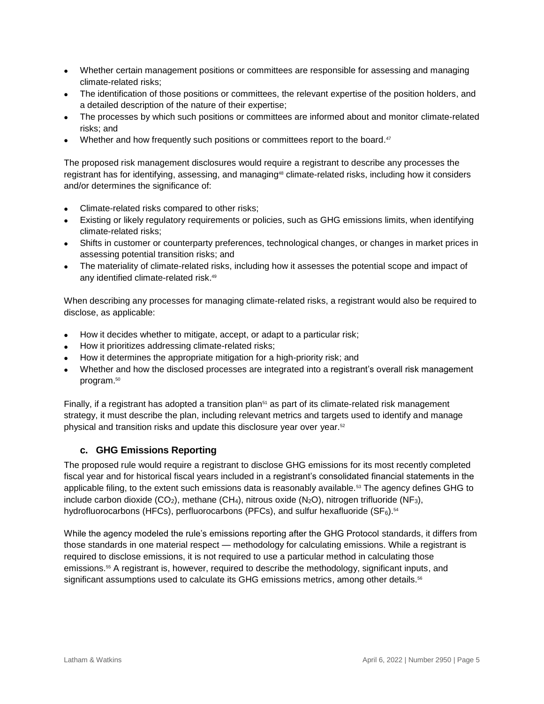- Whether certain management positions or committees are responsible for assessing and managing climate-related risks;
- The identification of those positions or committees, the relevant expertise of the position holders, and a detailed description of the nature of their expertise;
- The processes by which such positions or committees are informed about and monitor climate-related risks; and
- Whether and how frequently such positions or committees report to the board.<sup>47</sup>

The proposed risk management disclosures would require a registrant to describe any processes the registrant has for identifying, assessing, and managing<sup>48</sup> climate-related risks, including how it considers and/or determines the significance of:

- Climate-related risks compared to other risks;
- Existing or likely regulatory requirements or policies, such as GHG emissions limits, when identifying climate-related risks;
- Shifts in customer or counterparty preferences, technological changes, or changes in market prices in assessing potential transition risks; and
- The materiality of climate-related risks, including how it assesses the potential scope and impact of any identified climate-related risk. 49

When describing any processes for managing climate-related risks, a registrant would also be required to disclose, as applicable:

- How it decides whether to mitigate, accept, or adapt to a particular risk;
- How it prioritizes addressing climate-related risks;
- How it determines the appropriate mitigation for a high-priority risk; and
- Whether and how the disclosed processes are integrated into a registrant's overall risk management program. 50

Finally, if a registrant has adopted a transition plan<sup>51</sup> as part of its climate-related risk management strategy, it must describe the plan, including relevant metrics and targets used to identify and manage physical and transition risks and update this disclosure year over year.<sup>52</sup>

## **c. GHG Emissions Reporting**

The proposed rule would require a registrant to disclose GHG emissions for its most recently completed fiscal year and for historical fiscal years included in a registrant's consolidated financial statements in the applicable filing, to the extent such emissions data is reasonably available.<sup>53</sup> The agency defines GHG to include carbon dioxide (CO<sub>2</sub>), methane (CH<sub>4</sub>), nitrous oxide (N<sub>2</sub>O), nitrogen trifluoride (NF<sub>3</sub>), hydrofluorocarbons (HFCs), perfluorocarbons (PFCs), and sulfur hexafluoride (SF $_6$ ). $^{\rm 54}$ 

While the agency modeled the rule's emissions reporting after the GHG Protocol standards, it differs from those standards in one material respect — methodology for calculating emissions. While a registrant is required to disclose emissions, it is not required to use a particular method in calculating those emissions.<sup>55</sup> A registrant is, however, required to describe the methodology, significant inputs, and significant assumptions used to calculate its GHG emissions metrics, among other details. 56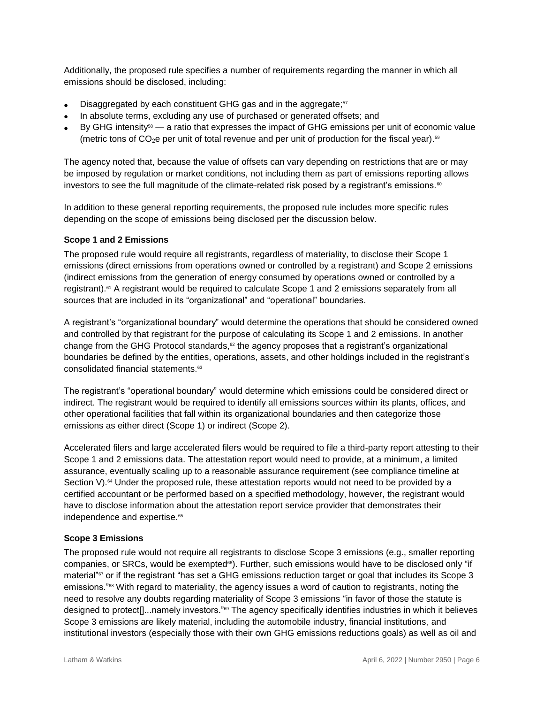Additionally, the proposed rule specifies a number of requirements regarding the manner in which all emissions should be disclosed, including:

- Disaggregated by each constituent GHG gas and in the aggregate;<sup>57</sup>
- In absolute terms, excluding any use of purchased or generated offsets; and
- By GHG intensity<sup>58</sup> a ratio that expresses the impact of GHG emissions per unit of economic value  $($ metric tons of CO<sub>2</sub>e per unit of total revenue and per unit of production for the fiscal year).<sup>59</sup>

The agency noted that, because the value of offsets can vary depending on restrictions that are or may be imposed by regulation or market conditions, not including them as part of emissions reporting allows investors to see the full magnitude of the climate-related risk posed by a registrant's emissions.<sup>60</sup>

In addition to these general reporting requirements, the proposed rule includes more specific rules depending on the scope of emissions being disclosed per the discussion below.

#### **Scope 1 and 2 Emissions**

The proposed rule would require all registrants, regardless of materiality, to disclose their Scope 1 emissions (direct emissions from operations owned or controlled by a registrant) and Scope 2 emissions (indirect emissions from the generation of energy consumed by operations owned or controlled by a registrant). <sup>61</sup> A registrant would be required to calculate Scope 1 and 2 emissions separately from all sources that are included in its "organizational" and "operational" boundaries.

A registrant's "organizational boundary" would determine the operations that should be considered owned and controlled by that registrant for the purpose of calculating its Scope 1 and 2 emissions. In another change from the GHG Protocol standards, $62$  the agency proposes that a registrant's organizational boundaries be defined by the entities, operations, assets, and other holdings included in the registrant's consolidated financial statements.<sup>63</sup>

The registrant's "operational boundary" would determine which emissions could be considered direct or indirect. The registrant would be required to identify all emissions sources within its plants, offices, and other operational facilities that fall within its organizational boundaries and then categorize those emissions as either direct (Scope 1) or indirect (Scope 2).

Accelerated filers and large accelerated filers would be required to file a third-party report attesting to their Scope 1 and 2 emissions data. The attestation report would need to provide, at a minimum, a limited assurance, eventually scaling up to a reasonable assurance requirement (see compliance timeline at Section V).<sup>64</sup> Under the proposed rule, these attestation reports would not need to be provided by a certified accountant or be performed based on a specified methodology, however, the registrant would have to disclose information about the attestation report service provider that demonstrates their independence and expertise.<sup>65</sup>

#### **Scope 3 Emissions**

The proposed rule would not require all registrants to disclose Scope 3 emissions (e.g., smaller reporting companies, or SRCs, would be exempted<sup>66</sup>). Further, such emissions would have to be disclosed only "if material"<sup>67</sup> or if the registrant "has set a GHG emissions reduction target or goal that includes its Scope 3 emissions."<sup>68</sup> With regard to materiality, the agency issues a word of caution to registrants, noting the need to resolve any doubts regarding materiality of Scope 3 emissions "in favor of those the statute is designed to protect[]...namely investors."<sup>69</sup> The agency specifically identifies industries in which it believes Scope 3 emissions are likely material, including the automobile industry, financial institutions, and institutional investors (especially those with their own GHG emissions reductions goals) as well as oil and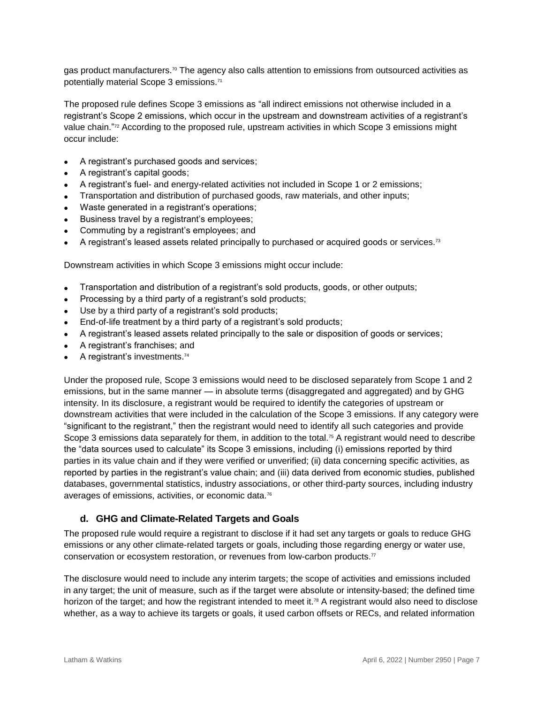gas product manufacturers.<sup>70</sup> The agency also calls attention to emissions from outsourced activities as potentially material Scope 3 emissions.<sup>71</sup>

The proposed rule defines Scope 3 emissions as "all indirect emissions not otherwise included in a registrant's Scope 2 emissions, which occur in the upstream and downstream activities of a registrant's value chain." <sup>72</sup> According to the proposed rule, upstream activities in which Scope 3 emissions might occur include:

- A registrant's purchased goods and services;
- A registrant's capital goods;
- A registrant's fuel- and energy-related activities not included in Scope 1 or 2 emissions;
- Transportation and distribution of purchased goods, raw materials, and other inputs;
- Waste generated in a registrant's operations;
- Business travel by a registrant's employees;
- Commuting by a registrant's employees; and
- A registrant's leased assets related principally to purchased or acquired goods or services.<sup>73</sup>

Downstream activities in which Scope 3 emissions might occur include:

- Transportation and distribution of a registrant's sold products, goods, or other outputs;
- Processing by a third party of a registrant's sold products;
- Use by a third party of a registrant's sold products;
- End-of-life treatment by a third party of a registrant's sold products;
- A registrant's leased assets related principally to the sale or disposition of goods or services;
- A registrant's franchises; and
- A registrant's investments.<sup>74</sup>

Under the proposed rule, Scope 3 emissions would need to be disclosed separately from Scope 1 and 2 emissions, but in the same manner — in absolute terms (disaggregated and aggregated) and by GHG intensity. In its disclosure, a registrant would be required to identify the categories of upstream or downstream activities that were included in the calculation of the Scope 3 emissions. If any category were "significant to the registrant," then the registrant would need to identify all such categories and provide Scope 3 emissions data separately for them, in addition to the total.<sup>75</sup> A registrant would need to describe the "data sources used to calculate" its Scope 3 emissions, including (i) emissions reported by third parties in its value chain and if they were verified or unverified; (ii) data concerning specific activities, as reported by parties in the registrant's value chain; and (iii) data derived from economic studies, published databases, governmental statistics, industry associations, or other third-party sources, including industry averages of emissions, activities, or economic data.<sup>76</sup>

## **d. GHG and Climate-Related Targets and Goals**

The proposed rule would require a registrant to disclose if it had set any targets or goals to reduce GHG emissions or any other climate-related targets or goals, including those regarding energy or water use, conservation or ecosystem restoration, or revenues from low-carbon products.<sup>77</sup>

The disclosure would need to include any interim targets; the scope of activities and emissions included in any target; the unit of measure, such as if the target were absolute or intensity-based; the defined time horizon of the target; and how the registrant intended to meet it.<sup>78</sup> A registrant would also need to disclose whether, as a way to achieve its targets or goals, it used carbon offsets or RECs, and related information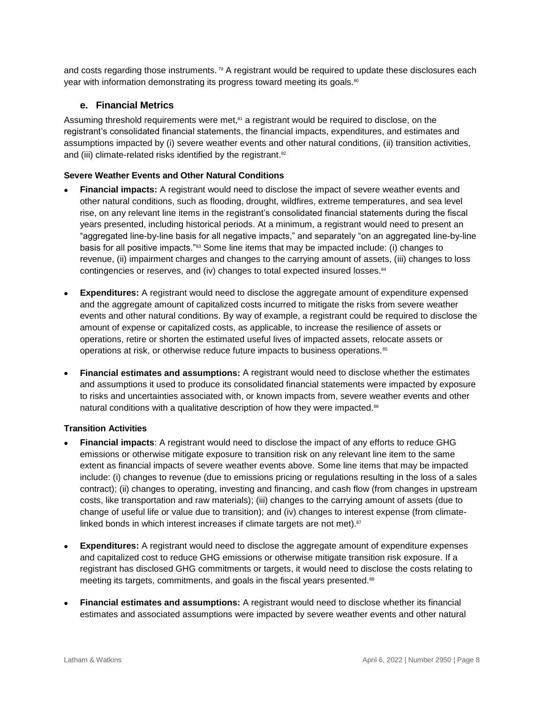and costs regarding those instruments.<sup>79</sup> A registrant would be required to update these disclosures each year with information demonstrating its progress toward meeting its goals. 80

#### **e. Financial Metrics**

Assuming threshold requirements were met,<sup>81</sup> a registrant would be required to disclose, on the registrant's consolidated financial statements, the financial impacts, expenditures, and estimates and assumptions impacted by (i) severe weather events and other natural conditions, (ii) transition activities, and (iii) climate-related risks identified by the registrant.<sup>82</sup>

#### **Severe Weather Events and Other Natural Conditions**

- **Financial impacts:** A registrant would need to disclose the impact of severe weather events and other natural conditions, such as flooding, drought, wildfires, extreme temperatures, and sea level rise, on any relevant line items in the registrant's consolidated financial statements during the fiscal years presented, including historical periods. At a minimum, a registrant would need to present an "aggregated line-by-line basis for all negative impacts," and separately "on an aggregated line-by-line basis for all positive impacts."<sup>83</sup> Some line items that may be impacted include: (i) changes to revenue, (ii) impairment charges and changes to the carrying amount of assets, (iii) changes to loss contingencies or reserves, and (iv) changes to total expected insured losses.<sup>84</sup>
- **Expenditures:** A registrant would need to disclose the aggregate amount of expenditure expensed and the aggregate amount of capitalized costs incurred to mitigate the risks from severe weather events and other natural conditions. By way of example, a registrant could be required to disclose the amount of expense or capitalized costs, as applicable, to increase the resilience of assets or operations, retire or shorten the estimated useful lives of impacted assets, relocate assets or operations at risk, or otherwise reduce future impacts to business operations.<sup>85</sup>
- **Financial estimates and assumptions:** A registrant would need to disclose whether the estimates and assumptions it used to produce its consolidated financial statements were impacted by exposure to risks and uncertainties associated with, or known impacts from, severe weather events and other natural conditions with a qualitative description of how they were impacted.<sup>86</sup>

#### **Transition Activities**

- **Financial impacts**: A registrant would need to disclose the impact of any efforts to reduce GHG emissions or otherwise mitigate exposure to transition risk on any relevant line item to the same extent as financial impacts of severe weather events above. Some line items that may be impacted include: (i) changes to revenue (due to emissions pricing or regulations resulting in the loss of a sales contract); (ii) changes to operating, investing and financing, and cash flow (from changes in upstream costs, like transportation and raw materials); (iii) changes to the carrying amount of assets (due to change of useful life or value due to transition); and (iv) changes to interest expense (from climatelinked bonds in which interest increases if climate targets are not met).<sup>87</sup>
- **Expenditures:** A registrant would need to disclose the aggregate amount of expenditure expenses and capitalized cost to reduce GHG emissions or otherwise mitigate transition risk exposure. If a registrant has disclosed GHG commitments or targets, it would need to disclose the costs relating to meeting its targets, commitments, and goals in the fiscal years presented.<sup>88</sup>
- **Financial estimates and assumptions:** A registrant would need to disclose whether its financial estimates and associated assumptions were impacted by severe weather events and other natural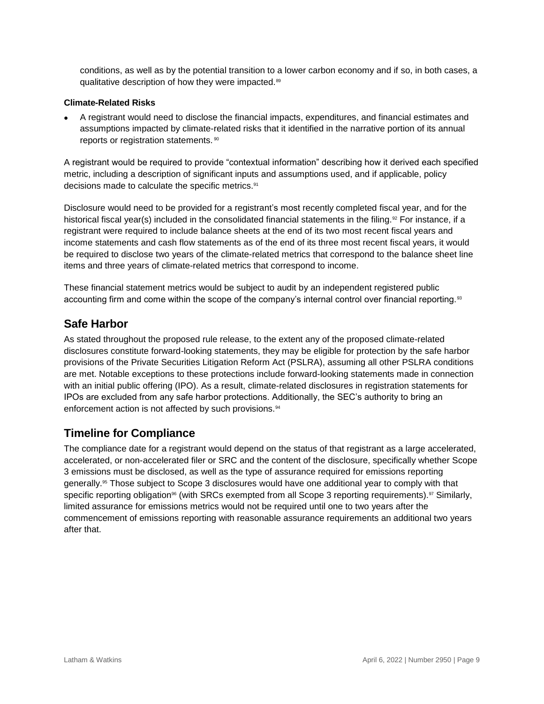conditions, as well as by the potential transition to a lower carbon economy and if so, in both cases, a qualitative description of how they were impacted.<sup>89</sup>

#### **Climate-Related Risks**

 A registrant would need to disclose the financial impacts, expenditures, and financial estimates and assumptions impacted by climate-related risks that it identified in the narrative portion of its annual reports or registration statements.<sup>90</sup>

A registrant would be required to provide "contextual information" describing how it derived each specified metric, including a description of significant inputs and assumptions used, and if applicable, policy decisions made to calculate the specific metrics.<sup>91</sup>

Disclosure would need to be provided for a registrant's most recently completed fiscal year, and for the historical fiscal year(s) included in the consolidated financial statements in the filing.<sup>92</sup> For instance, if a registrant were required to include balance sheets at the end of its two most recent fiscal years and income statements and cash flow statements as of the end of its three most recent fiscal years, it would be required to disclose two years of the climate-related metrics that correspond to the balance sheet line items and three years of climate-related metrics that correspond to income.

These financial statement metrics would be subject to audit by an independent registered public accounting firm and come within the scope of the company's internal control over financial reporting.<sup>93</sup>

# **Safe Harbor**

As stated throughout the proposed rule release, to the extent any of the proposed climate-related disclosures constitute forward-looking statements, they may be eligible for protection by the safe harbor provisions of the Private Securities Litigation Reform Act (PSLRA), assuming all other PSLRA conditions are met. Notable exceptions to these protections include forward-looking statements made in connection with an initial public offering (IPO). As a result, climate-related disclosures in registration statements for IPOs are excluded from any safe harbor protections. Additionally, the SEC's authority to bring an enforcement action is not affected by such provisions.<sup>94</sup>

# **Timeline for Compliance**

The compliance date for a registrant would depend on the status of that registrant as a large accelerated, accelerated, or non-accelerated filer or SRC and the content of the disclosure, specifically whether Scope 3 emissions must be disclosed, as well as the type of assurance required for emissions reporting generally.<sup>95</sup> Those subject to Scope 3 disclosures would have one additional year to comply with that specific reporting obligation<sup>96</sup> (with SRCs exempted from all Scope 3 reporting requirements).<sup>97</sup> Similarly, limited assurance for emissions metrics would not be required until one to two years after the commencement of emissions reporting with reasonable assurance requirements an additional two years after that.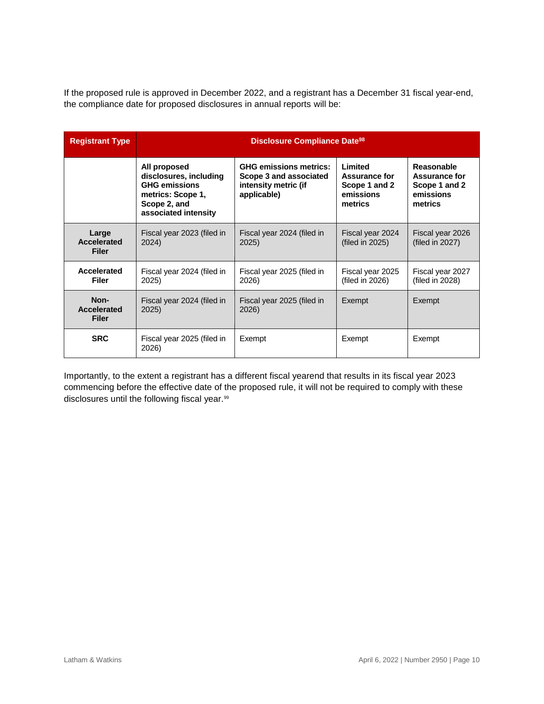If the proposed rule is approved in December 2022, and a registrant has a December 31 fiscal year-end, the compliance date for proposed disclosures in annual reports will be:

| <b>Registrant Type</b>               | <b>Disclosure Compliance Date<sup>98</sup></b>                                                                              |                                                                                                |                                                                          |                                                                             |
|--------------------------------------|-----------------------------------------------------------------------------------------------------------------------------|------------------------------------------------------------------------------------------------|--------------------------------------------------------------------------|-----------------------------------------------------------------------------|
|                                      | All proposed<br>disclosures, including<br><b>GHG emissions</b><br>metrics: Scope 1,<br>Scope 2, and<br>associated intensity | <b>GHG emissions metrics:</b><br>Scope 3 and associated<br>intensity metric (if<br>applicable) | Limited<br><b>Assurance for</b><br>Scope 1 and 2<br>emissions<br>metrics | Reasonable<br><b>Assurance for</b><br>Scope 1 and 2<br>emissions<br>metrics |
| Large<br>Accelerated<br><b>Filer</b> | Fiscal year 2023 (filed in<br>2024)                                                                                         | Fiscal year 2024 (filed in<br>2025)                                                            | Fiscal year 2024<br>(filed in 2025)                                      | Fiscal year 2026<br>(filed in 2027)                                         |
| Accelerated<br><b>Filer</b>          | Fiscal year 2024 (filed in<br>2025                                                                                          | Fiscal year 2025 (filed in<br>2026)                                                            | Fiscal year 2025<br>(filed in 2026)                                      | Fiscal year 2027<br>(filed in 2028)                                         |
| Non-<br>Accelerated<br><b>Filer</b>  | Fiscal year 2024 (filed in<br>2025)                                                                                         | Fiscal year 2025 (filed in<br>2026)                                                            | Exempt                                                                   | Exempt                                                                      |
| <b>SRC</b>                           | Fiscal year 2025 (filed in<br>2026)                                                                                         | Exempt                                                                                         | Exempt                                                                   | Exempt                                                                      |

Importantly, to the extent a registrant has a different fiscal yearend that results in its fiscal year 2023 commencing before the effective date of the proposed rule, it will not be required to comply with these disclosures until the following fiscal year.<sup>99</sup>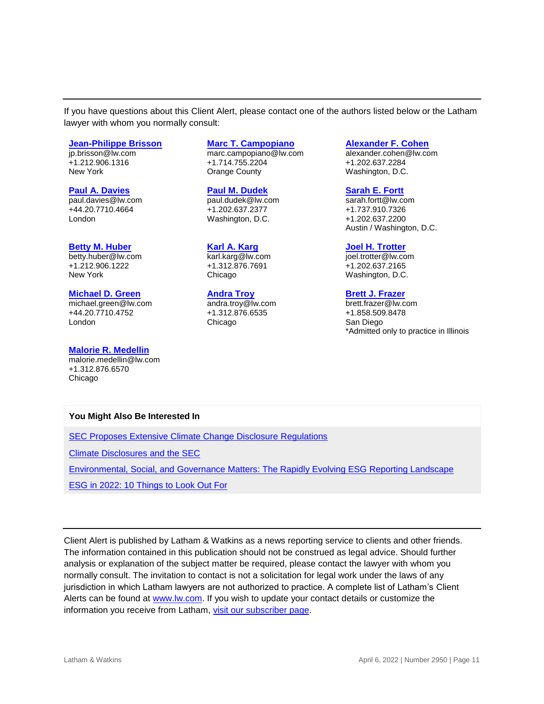If you have questions about this Client Alert, please contact one of the authors listed below or the Latham lawyer with whom you normally consult:

#### **[Jean-Philippe Brisson](https://www.lw.com/people/jp-brisson)**

jp.brisson@lw.com +1.212.906.1316 New York

#### **[Paul A. Davies](https://www.lw.com/people/paul-davies)**

paul.davies@lw.com +44.20.7710.4664 London

#### **[Betty M. Huber](https://www.lw.com/people/betty-huber)**

betty.huber@lw.com +1.212.906.1222 New York

#### **[Michael D. Green](https://www.lw.com/people/michael-green)**

michael.green@lw.com +44.20.7710.4752 London

#### **[Malorie R. Medellin](https://www.lw.com/people/MalorieRMedellin)**

malorie.medellin@lw.com +1.312.876.6570 Chicago

#### **[Marc T. Campopiano](https://www.lw.com/people/marc-campopiano)**

marc.campopiano@lw.com +1.714.755.2204 Orange County

**[Paul M. Dudek](https://www.lw.com/people/paul-dudek)** paul.dudek@lw.com +1.202.637.2377 Washington, D.C.

#### **[Karl A. Karg](https://www.lw.com/people/karl-karg)**

karl.karg@lw.com +1.312.876.7691 Chicago

#### **[Andra Troy](https://www.lw.com/people/andra-troy)** andra.troy@lw.com

+1.312.876.6535 Chicago

#### **[Alexander F. Cohen](https://www.lw.com/people/alexander-cohen)**

alexander.cohen@lw.com +1.202.637.2284 Washington, D.C.

#### **[Sarah E. Fortt](https://www.lw.com/people/sarah-fortt)**

sarah.fortt@lw.com +1.737.910.7326 +1.202.637.2200 Austin / Washington, D.C.

#### **[Joel H. Trotter](https://www.lw.com/people/joel-trotter)**

joel.trotter@lw.com +1.202.637.2165 Washington, D.C.

#### **[Brett J. Frazer](mailto:Brett.Frazer@lw.com)**

brett.frazer@lw.com +1.858.509.8478 San Diego \*Admitted only to practice in Illinois

#### **You Might Also Be Interested In**

[SEC Proposes Extensive Climate Change Disclosure Regulations](https://www.lw.com/thoughtLeadership/sec-proposes-extensive-climate-change-disclosure-regulations)

[Climate Disclosures and the SEC](https://www.lw.com/thoughtLeadership/Climate-Disclosures-and-the-SEC)

[Environmental, Social, and Governance Matters: The Rapidly Evolving ESG Reporting Landscape](https://www.lw.com/thoughtLeadership/environmental-social-governance-evolving-reporting-landscape-chapter-four)

[ESG in 2022: 10 Things to Look Out For](https://www.globalelr.com/2022/01/esg-in-2022-10-things-to-look-out-for/)

Client Alert is published by Latham & Watkins as a news reporting service to clients and other friends. The information contained in this publication should not be construed as legal advice. Should further analysis or explanation of the subject matter be required, please contact the lawyer with whom you normally consult. The invitation to contact is not a solicitation for legal work under the laws of any jurisdiction in which Latham lawyers are not authorized to practice. A complete list of Latham's Client Alerts can be found at [www.lw.com.](http://www.lw.com/) If you wish to update your contact details or customize the information you receive from Latham, [visit our subscriber page.](https://www.sites.lwcommunicate.com/5/2399/forms-english/subscribe.asp)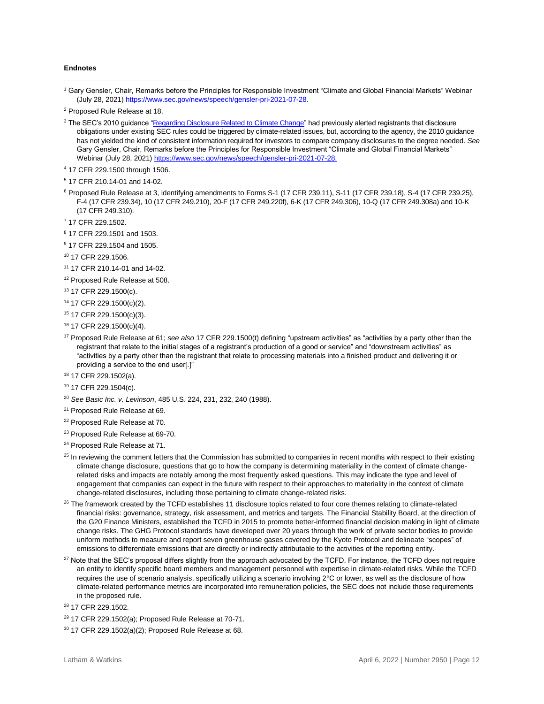#### **Endnotes**

 $\overline{a}$ 

- <sup>5</sup> 17 CFR 210.14-01 and 14-02.
- <sup>6</sup> Proposed Rule Release at 3, identifying amendments to Forms S-1 (17 CFR 239.11), S-11 (17 CFR 239.18), S-4 (17 CFR 239.25), F-4 (17 CFR 239.34), 10 (17 CFR 249.210), 20-F (17 CFR 249.220f), 6-K (17 CFR 249.306), 10-Q (17 CFR 249.308a) and 10-K (17 CFR 249.310).
- <sup>7</sup> 17 CFR 229.1502.
- <sup>8</sup> 17 CFR 229.1501 and 1503.
- <sup>9</sup> 17 CFR 229.1504 and 1505.
- <sup>10</sup> 17 CFR 229.1506.
- <sup>11</sup> 17 CFR 210.14-01 and 14-02.
- <sup>12</sup> Proposed Rule Release at 508.
- <sup>13</sup> 17 CFR 229.1500(c).
- <sup>14</sup> 17 CFR 229.1500(c)(2).
- <sup>15</sup> 17 CFR 229.1500(c)(3).
- <sup>16</sup> 17 CFR 229.1500(c)(4).
- <sup>17</sup> Proposed Rule Release at 61; *see also* 17 CFR 229.1500(t) defining "upstream activities" as "activities by a party other than the registrant that relate to the initial stages of a registrant's production of a good or service" and "downstream activities" as "activities by a party other than the registrant that relate to processing materials into a finished product and delivering it or providing a service to the end user[.]"
- <sup>18</sup> 17 CFR 229.1502(a).
- <sup>19</sup> 17 CFR 229.1504(c).
- <sup>20</sup> *See Basic Inc. v. Levinson*, 485 U.S. 224, 231, 232, 240 (1988).
- <sup>21</sup> Proposed Rule Release at 69.
- <sup>22</sup> Proposed Rule Release at 70.
- <sup>23</sup> Proposed Rule Release at 69-70.
- <sup>24</sup> Proposed Rule Release at 71.
- $25$  In reviewing the comment letters that the Commission has submitted to companies in recent months with respect to their existing climate change disclosure, questions that go to how the company is determining materiality in the context of climate changerelated risks and impacts are notably among the most frequently asked questions. This may indicate the type and level of engagement that companies can expect in the future with respect to their approaches to materiality in the context of climate change-related disclosures, including those pertaining to climate change-related risks.
- <sup>26</sup> The framework created by the TCFD establishes 11 disclosure topics related to four core themes relating to climate-related financial risks: governance, strategy, risk assessment, and metrics and targets. The Financial Stability Board, at the direction of the G20 Finance Ministers, established the TCFD in 2015 to promote better-informed financial decision making in light of climate change risks. The GHG Protocol standards have developed over 20 years through the work of private sector bodies to provide uniform methods to measure and report seven greenhouse gases covered by the Kyoto Protocol and delineate "scopes" of emissions to differentiate emissions that are directly or indirectly attributable to the activities of the reporting entity.
- <sup>27</sup> Note that the SEC's proposal differs slightly from the approach advocated by the TCFD. For instance, the TCFD does not require an entity to identify specific board members and management personnel with expertise in climate-related risks. While the TCFD requires the use of scenario analysis, specifically utilizing a scenario involving 2°C or lower, as well as the disclosure of how climate-related performance metrics are incorporated into remuneration policies, the SEC does not include those requirements in the proposed rule.
- <sup>28</sup> 17 CFR 229.1502.
- <sup>29</sup> 17 CFR 229.1502(a); Proposed Rule Release at 70-71.
- <sup>30</sup> 17 CFR 229.1502(a)(2); Proposed Rule Release at 68.

<sup>1</sup> Gary Gensler, Chair, Remarks before the Principles for Responsible Investment "Climate and Global Financial Markets" Webinar (July 28, 2021[\) https://www.sec.gov/news/speech/gensler-pri-2021-07-28.](https://www.sec.gov/news/speech/gensler-pri-2021-07-28)

<sup>2</sup> Proposed Rule Release at 18.

<sup>&</sup>lt;sup>3</sup> The SEC's 2010 guidance ["Regarding Disclosure Related to Climate Change"](https://www.sec.gov/rules/interp/2010/33-9106.pdf) had previously alerted registrants that disclosure obligations under existing SEC rules could be triggered by climate-related issues, but, according to the agency, the 2010 guidance has not yielded the kind of consistent information required for investors to compare company disclosures to the degree needed. *See*  Gary Gensler, Chair, Remarks before the Principles for Responsible Investment "Climate and Global Financial Markets" Webinar (July 28, 2021[\) https://www.sec.gov/news/speech/gensler-pri-2021-07-28.](https://www.sec.gov/news/speech/gensler-pri-2021-07-28)

<sup>4</sup> 17 CFR 229.1500 through 1506.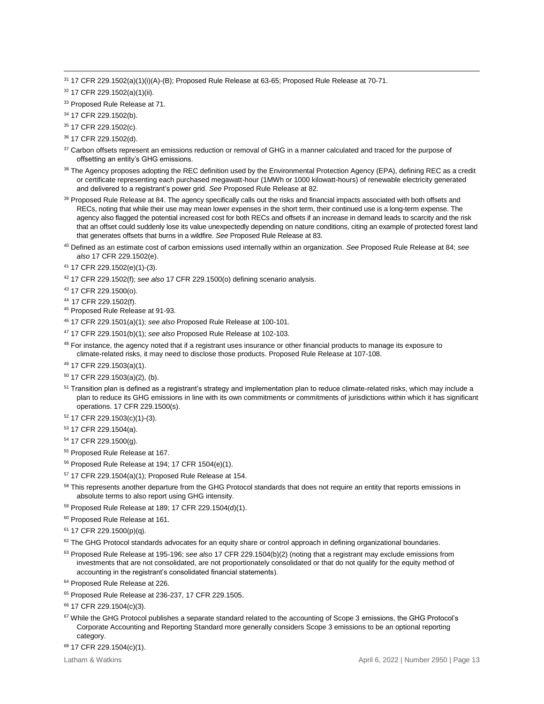<sup>31</sup> 17 CFR 229.1502(a)(1)(i)(A)-(B); Proposed Rule Release at 63-65; Proposed Rule Release at 70-71.

<sup>32</sup> 17 CFR 229.1502(a)(1)(ii).

<sup>33</sup> Proposed Rule Release at 71.

<sup>34</sup> 17 CFR 229.1502(b).

 $\overline{a}$ 

<sup>35</sup> 17 CFR 229.1502(c).

<sup>36</sup> 17 CFR 229.1502(d).

<sup>37</sup> Carbon offsets represent an emissions reduction or removal of GHG in a manner calculated and traced for the purpose of offsetting an entity's GHG emissions.

<sup>38</sup> The Agency proposes adopting the REC definition used by the Environmental Protection Agency (EPA), defining REC as a credit or certificate representing each purchased megawatt-hour (1MWh or 1000 kilowatt-hours) of renewable electricity generated and delivered to a registrant's power grid. *See* Proposed Rule Release at 82.

39 Proposed Rule Release at 84. The agency specifically calls out the risks and financial impacts associated with both offsets and RECs, noting that while their use may mean lower expenses in the short term, their continued use is a long-term expense. The agency also flagged the potential increased cost for both RECs and offsets if an increase in demand leads to scarcity and the risk that an offset could suddenly lose its value unexpectedly depending on nature conditions, citing an example of protected forest land that generates offsets that burns in a wildfire. *See* Proposed Rule Release at 83.

<sup>40</sup> Defined as an estimate cost of carbon emissions used internally within an organization. *See* Proposed Rule Release at 84; *see also* 17 CFR 229.1502(e).

<sup>41</sup> 17 CFR 229.1502(e)(1)-(3).

<sup>42</sup> 17 CFR 229.1502(f); *see also* 17 CFR 229.1500(o) defining scenario analysis.

<sup>43</sup> 17 CFR 229.1500(o).

<sup>44</sup> 17 CFR 229.1502(f).

<sup>45</sup> Proposed Rule Release at 91-93.

<sup>46</sup> 17 CFR 229.1501(a)(1); *see also* Proposed Rule Release at 100-101.

<sup>47</sup> 17 CFR 229.1501(b)(1); *see also* Proposed Rule Release at 102-103.

<sup>48</sup> For instance, the agency noted that if a registrant uses insurance or other financial products to manage its exposure to climate-related risks, it may need to disclose those products. Proposed Rule Release at 107-108.

<sup>49</sup> 17 CFR 229.1503(a)(1).

<sup>50</sup> 17 CFR 229.1503(a)(2), (b).

<sup>51</sup> Transition plan is defined as a registrant's strategy and implementation plan to reduce climate-related risks, which may include a plan to reduce its GHG emissions in line with its own commitments or commitments of jurisdictions within which it has significant operations. 17 CFR 229.1500(s).

<sup>52</sup> 17 CFR 229.1503(c)(1)-(3).

<sup>53</sup> 17 CFR 229.1504(a).

<sup>54</sup> 17 CFR 229.1500(g).

<sup>55</sup> Proposed Rule Release at 167.

<sup>56</sup> Proposed Rule Release at 194; 17 CFR 1504(e)(1).

<sup>57</sup> 17 CFR 229.1504(a)(1); Proposed Rule Release at 154.

<sup>58</sup> This represents another departure from the GHG Protocol standards that does not require an entity that reports emissions in absolute terms to also report using GHG intensity.

<sup>59</sup> Proposed Rule Release at 189; 17 CFR 229.1504(d)(1).

<sup>60</sup> Proposed Rule Release at 161.

 $61$  17 CFR 229.1500(p)(q).

 $62$  The GHG Protocol standards advocates for an equity share or control approach in defining organizational boundaries.

<sup>63</sup> Proposed Rule Release at 195-196; *see also* 17 CFR 229.1504(b)(2) (noting that a registrant may exclude emissions from investments that are not consolidated, are not proportionately consolidated or that do not qualify for the equity method of accounting in the registrant's consolidated financial statements).

<sup>64</sup> Proposed Rule Release at 226.

<sup>65</sup> Proposed Rule Release at 236-237, 17 CFR 229.1505.

66 17 CFR 229.1504(c)(3).

<sup>68</sup> 17 CFR 229.1504(c)(1).

<sup>&</sup>lt;sup>67</sup> While the GHG Protocol publishes a separate standard related to the accounting of Scope 3 emissions, the GHG Protocol's Corporate Accounting and Reporting Standard more generally considers Scope 3 emissions to be an optional reporting category.